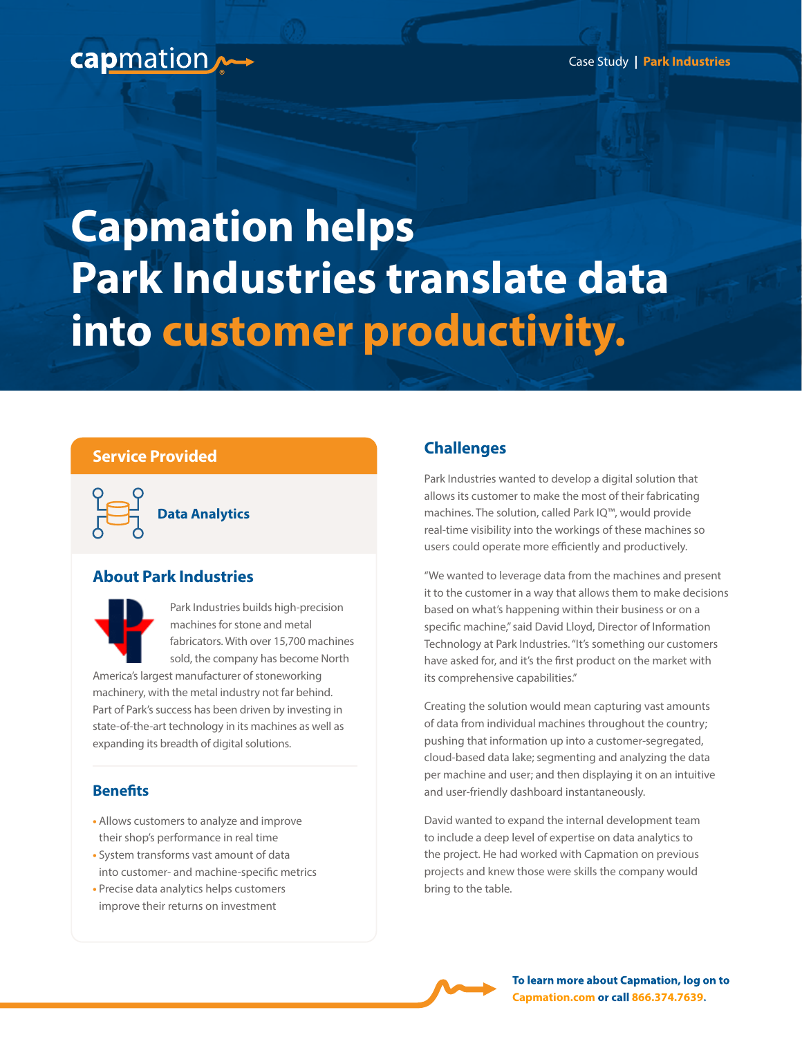Case Study **| Park Industries**

# capmation

# **Capmation helps Park Industries translate data into customer productivity.**

#### **Service Provided**

**Data Analytics**

#### **About Park Industries**



Park Industries builds high-precision machines for stone and metal fabricators. With over 15,700 machines sold, the company has become North

America's largest manufacturer of stoneworking machinery, with the metal industry not far behind. Part of Park's success has been driven by investing in state-of-the-art technology in its machines as well as expanding its breadth of digital solutions.

#### **Benefits**

- Allows customers to analyze and improve their shop's performance in real time
- System transforms vast amount of data into customer- and machine-specific metrics
- Precise data analytics helps customers improve their returns on investment

### **Challenges**

Park Industries wanted to develop a digital solution that allows its customer to make the most of their fabricating machines. The solution, called Park IQ™, would provide real-time visibility into the workings of these machines so users could operate more efficiently and productively.

"We wanted to leverage data from the machines and present it to the customer in a way that allows them to make decisions based on what's happening within their business or on a specific machine," said David Lloyd, Director of Information Technology at Park Industries. "It's something our customers have asked for, and it's the first product on the market with its comprehensive capabilities."

Creating the solution would mean capturing vast amounts of data from individual machines throughout the country; pushing that information up into a customer-segregated, cloud-based data lake; segmenting and analyzing the data per machine and user; and then displaying it on an intuitive and user-friendly dashboard instantaneously.

David wanted to expand the internal development team to include a deep level of expertise on data analytics to the project. He had worked with Capmation on previous projects and knew those were skills the company would bring to the table.



**To learn more about Capmation, log on to [Capmation.com](http://capmation.com) or call 866.374.7639.**